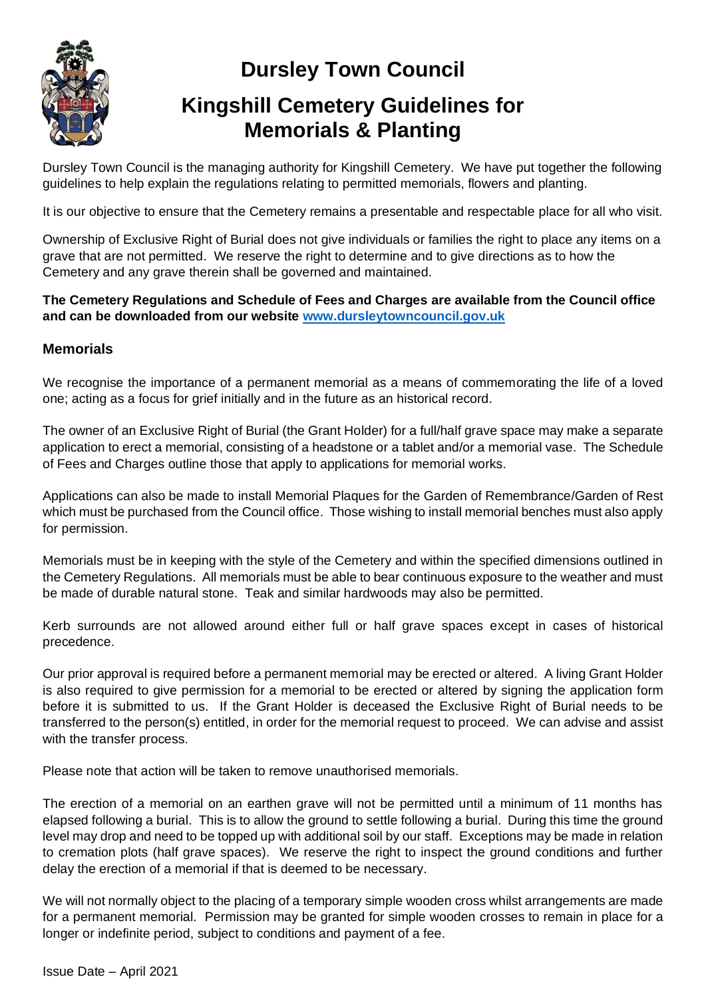

## **Dursley Town Council**

## **Kingshill Cemetery Guidelines for Memorials & Planting**

Dursley Town Council is the managing authority for Kingshill Cemetery. We have put together the following guidelines to help explain the regulations relating to permitted memorials, flowers and planting.

It is our objective to ensure that the Cemetery remains a presentable and respectable place for all who visit.

Ownership of Exclusive Right of Burial does not give individuals or families the right to place any items on a grave that are not permitted. We reserve the right to determine and to give directions as to how the Cemetery and any grave therein shall be governed and maintained.

**The Cemetery Regulations and Schedule of Fees and Charges are available from the Council office and can be downloaded from our website [www.dursleytowncouncil.gov.uk](http://www.dursleytowncouncil.gov.uk/)**

## **Memorials**

We recognise the importance of a permanent memorial as a means of commemorating the life of a loved one; acting as a focus for grief initially and in the future as an historical record.

The owner of an Exclusive Right of Burial (the Grant Holder) for a full/half grave space may make a separate application to erect a memorial, consisting of a headstone or a tablet and/or a memorial vase. The Schedule of Fees and Charges outline those that apply to applications for memorial works.

Applications can also be made to install Memorial Plaques for the Garden of Remembrance/Garden of Rest which must be purchased from the Council office. Those wishing to install memorial benches must also apply for permission.

Memorials must be in keeping with the style of the Cemetery and within the specified dimensions outlined in the Cemetery Regulations. All memorials must be able to bear continuous exposure to the weather and must be made of durable natural stone. Teak and similar hardwoods may also be permitted.

Kerb surrounds are not allowed around either full or half grave spaces except in cases of historical precedence.

Our prior approval is required before a permanent memorial may be erected or altered. A living Grant Holder is also required to give permission for a memorial to be erected or altered by signing the application form before it is submitted to us. If the Grant Holder is deceased the Exclusive Right of Burial needs to be transferred to the person(s) entitled, in order for the memorial request to proceed. We can advise and assist with the transfer process.

Please note that action will be taken to remove unauthorised memorials.

The erection of a memorial on an earthen grave will not be permitted until a minimum of 11 months has elapsed following a burial. This is to allow the ground to settle following a burial. During this time the ground level may drop and need to be topped up with additional soil by our staff. Exceptions may be made in relation to cremation plots (half grave spaces). We reserve the right to inspect the ground conditions and further delay the erection of a memorial if that is deemed to be necessary.

We will not normally object to the placing of a temporary simple wooden cross whilst arrangements are made for a permanent memorial. Permission may be granted for simple wooden crosses to remain in place for a longer or indefinite period, subject to conditions and payment of a fee.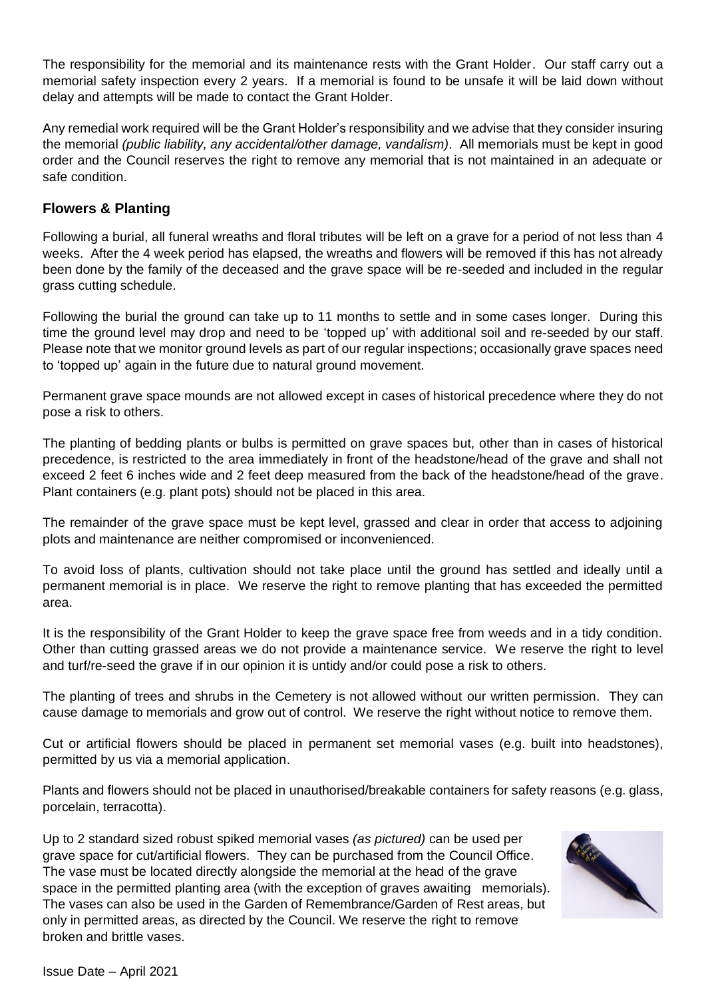The responsibility for the memorial and its maintenance rests with the Grant Holder. Our staff carry out a memorial safety inspection every 2 years. If a memorial is found to be unsafe it will be laid down without delay and attempts will be made to contact the Grant Holder.

Any remedial work required will be the Grant Holder's responsibility and we advise that they consider insuring the memorial *(public liability, any accidental/other damage, vandalism).* All memorials must be kept in good order and the Council reserves the right to remove any memorial that is not maintained in an adequate or safe condition.

## **Flowers & Planting**

Following a burial, all funeral wreaths and floral tributes will be left on a grave for a period of not less than 4 weeks. After the 4 week period has elapsed, the wreaths and flowers will be removed if this has not already been done by the family of the deceased and the grave space will be re-seeded and included in the regular grass cutting schedule.

Following the burial the ground can take up to 11 months to settle and in some cases longer. During this time the ground level may drop and need to be 'topped up' with additional soil and re-seeded by our staff. Please note that we monitor ground levels as part of our regular inspections; occasionally grave spaces need to 'topped up' again in the future due to natural ground movement.

Permanent grave space mounds are not allowed except in cases of historical precedence where they do not pose a risk to others.

The planting of bedding plants or bulbs is permitted on grave spaces but, other than in cases of historical precedence, is restricted to the area immediately in front of the headstone/head of the grave and shall not exceed 2 feet 6 inches wide and 2 feet deep measured from the back of the headstone/head of the grave. Plant containers (e.g. plant pots) should not be placed in this area.

The remainder of the grave space must be kept level, grassed and clear in order that access to adjoining plots and maintenance are neither compromised or inconvenienced.

To avoid loss of plants, cultivation should not take place until the ground has settled and ideally until a permanent memorial is in place. We reserve the right to remove planting that has exceeded the permitted area.

It is the responsibility of the Grant Holder to keep the grave space free from weeds and in a tidy condition. Other than cutting grassed areas we do not provide a maintenance service. We reserve the right to level and turf/re-seed the grave if in our opinion it is untidy and/or could pose a risk to others.

The planting of trees and shrubs in the Cemetery is not allowed without our written permission. They can cause damage to memorials and grow out of control. We reserve the right without notice to remove them.

Cut or artificial flowers should be placed in permanent set memorial vases (e.g. built into headstones), permitted by us via a memorial application.

Plants and flowers should not be placed in unauthorised/breakable containers for safety reasons (e.g. glass, porcelain, terracotta).

Up to 2 standard sized robust spiked memorial vases *(as pictured)* can be used per grave space for cut/artificial flowers. They can be purchased from the Council Office. The vase must be located directly alongside the memorial at the head of the grave space in the permitted planting area (with the exception of graves awaiting memorials). The vases can also be used in the Garden of Remembrance/Garden of Rest areas, but only in permitted areas, as directed by the Council. We reserve the right to remove broken and brittle vases.